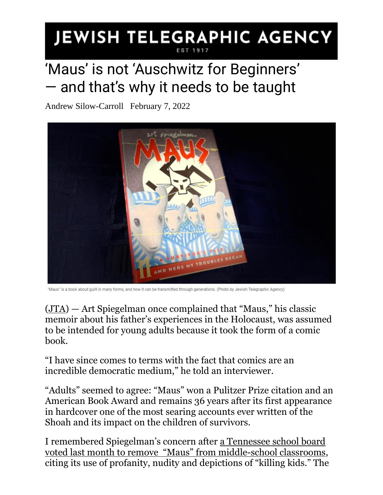## JEWISH TELEGRAPHIC AGENCY **EST 191**

## 'Maus' is not 'Auschwitz for Beginners' — and that's why it needs to be taught

Andrew Silow-Carroll February 7, 2022



"Maus" is a book about guilt in many forms, and how it can be transmitted through generations. (Photo by Jewish Telegraphic Agency)

[\(JTA\)](http://www.jta.org/) — Art Spiegelman once complained that "Maus," his classic memoir about his father's experiences in the Holocaust, was assumed to be intended for young adults because it took the form of a comic book.

"I have since comes to terms with the fact that comics are an incredible democratic medium," he told an interviewer.

"Adults" seemed to agree: "Maus" won a Pulitzer Prize citation and an American Book Award and remains 36 years after its first appearance in hardcover one of the most searing accounts ever written of the Shoah and its impact on the children of survivors.

I remembered Spiegelman's concern after [a Tennessee school board](https://www.jta.org/2022/01/26/united-states/tennessee-school-board-removes-maus-iconic-holocaust-novel-from-its-curriculum)  [voted last month to remove](https://www.jta.org/2022/01/26/united-states/tennessee-school-board-removes-maus-iconic-holocaust-novel-from-its-curriculum) "Maus" from middle-school classrooms, citing its use of profanity, nudity and depictions of "killing kids." The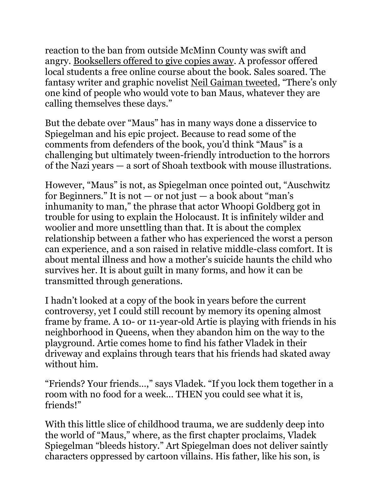reaction to the ban from outside McMinn County was swift and angry. [Booksellers offered to give copies away.](https://www.jta.org/2022/01/28/united-states/the-great-maus-giveaway-is-on-as-bookstores-professors-and-churches-counter-tennessee-school-boards-ban) A professor offered local students a free online course about the book. Sales soared. The fantasy writer and graphic novelist [Neil Gaiman tweeted](https://twitter.com/i/web/status/1486473393075802112), "There's only one kind of people who would vote to ban Maus, whatever they are calling themselves these days."

But the debate over "Maus" has in many ways done a disservice to Spiegelman and his epic project. Because to read some of the comments from defenders of the book, you'd think "Maus" is a challenging but ultimately tween-friendly introduction to the horrors of the Nazi years — a sort of Shoah textbook with mouse illustrations.

However, "Maus" is not, as Spiegelman once pointed out, "Auschwitz for Beginners." It is not  $-$  or not just  $-$  a book about "man's inhumanity to man," the phrase that actor Whoopi Goldberg got in trouble for using to explain the Holocaust. It is infinitely wilder and woolier and more unsettling than that. It is about the complex relationship between a father who has experienced the worst a person can experience, and a son raised in relative middle-class comfort. It is about mental illness and how a mother's suicide haunts the child who survives her. It is about guilt in many forms, and how it can be transmitted through generations.

I hadn't looked at a copy of the book in years before the current controversy, yet I could still recount by memory its opening almost frame by frame. A 10- or 11-year-old Artie is playing with friends in his neighborhood in Queens, when they abandon him on the way to the playground. Artie comes home to find his father Vladek in their driveway and explains through tears that his friends had skated away without him.

"Friends? Your friends…," says Vladek. "If you lock them together in a room with no food for a week… THEN you could see what it is, friends!"

With this little slice of childhood trauma, we are suddenly deep into the world of "Maus," where, as the first chapter proclaims, Vladek Spiegelman "bleeds history." Art Spiegelman does not deliver saintly characters oppressed by cartoon villains. His father, like his son, is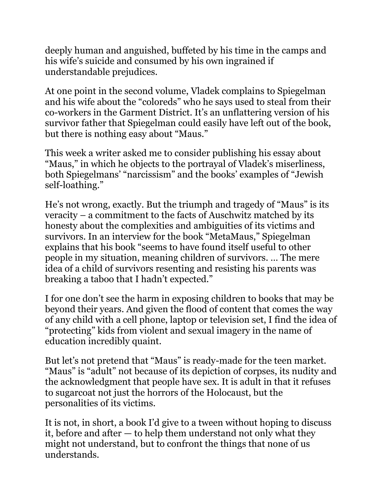deeply human and anguished, buffeted by his time in the camps and his wife's suicide and consumed by his own ingrained if understandable prejudices.

At one point in the second volume, Vladek complains to Spiegelman and his wife about the "coloreds" who he says used to steal from their co-workers in the Garment District. It's an unflattering version of his survivor father that Spiegelman could easily have left out of the book, but there is nothing easy about "Maus."

This week a writer asked me to consider publishing his essay about "Maus," in which he objects to the portrayal of Vladek's miserliness, both Spiegelmans' "narcissism" and the books' examples of "Jewish self-loathing."

He's not wrong, exactly. But the triumph and tragedy of "Maus" is its veracity – a commitment to the facts of Auschwitz matched by its honesty about the complexities and ambiguities of its victims and survivors. In an interview for the book "MetaMaus," Spiegelman explains that his book "seems to have found itself useful to other people in my situation, meaning children of survivors. … The mere idea of a child of survivors resenting and resisting his parents was breaking a taboo that I hadn't expected."

I for one don't see the harm in exposing children to books that may be beyond their years. And given the flood of content that comes the way of any child with a cell phone, laptop or television set, I find the idea of "protecting" kids from violent and sexual imagery in the name of education incredibly quaint.

But let's not pretend that "Maus" is ready-made for the teen market. "Maus" is "adult" not because of its depiction of corpses, its nudity and the acknowledgment that people have sex. It is adult in that it refuses to sugarcoat not just the horrors of the Holocaust, but the personalities of its victims.

It is not, in short, a book I'd give to a tween without hoping to discuss it, before and after — to help them understand not only what they might not understand, but to confront the things that none of us understands.